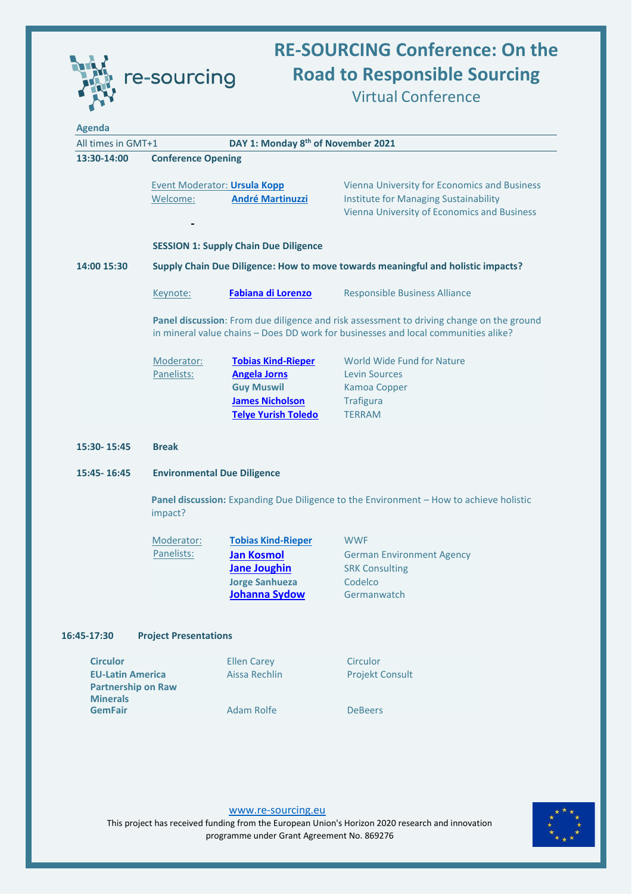

## **RE-SOURCING Conference: On the Road to Responsible Sourcing** Virtual Conference

| <b>Agenda</b>                                                                              |                                                                                                                                                                                |                                                                                                                               |                                                                                                                                                    |  |  |
|--------------------------------------------------------------------------------------------|--------------------------------------------------------------------------------------------------------------------------------------------------------------------------------|-------------------------------------------------------------------------------------------------------------------------------|----------------------------------------------------------------------------------------------------------------------------------------------------|--|--|
| All times in GMT+1                                                                         |                                                                                                                                                                                | DAY 1: Monday 8 <sup>th</sup> of November 2021                                                                                |                                                                                                                                                    |  |  |
| 13:30-14:00                                                                                | <b>Conference Opening</b>                                                                                                                                                      |                                                                                                                               |                                                                                                                                                    |  |  |
|                                                                                            | Welcome:                                                                                                                                                                       | Event Moderator: Ursula Kopp<br><b>André Martinuzzi</b>                                                                       | <b>Vienna University for Economics and Business</b><br><b>Institute for Managing Sustainability</b><br>Vienna University of Economics and Business |  |  |
|                                                                                            |                                                                                                                                                                                | <b>SESSION 1: Supply Chain Due Diligence</b>                                                                                  |                                                                                                                                                    |  |  |
| 14:00 15:30                                                                                | Supply Chain Due Diligence: How to move towards meaningful and holistic impacts?                                                                                               |                                                                                                                               |                                                                                                                                                    |  |  |
|                                                                                            | Keynote:                                                                                                                                                                       | <b>Fabiana di Lorenzo</b>                                                                                                     | <b>Responsible Business Alliance</b>                                                                                                               |  |  |
|                                                                                            | Panel discussion: From due diligence and risk assessment to driving change on the ground<br>in mineral value chains - Does DD work for businesses and local communities alike? |                                                                                                                               |                                                                                                                                                    |  |  |
|                                                                                            | Moderator:<br>Panelists:                                                                                                                                                       | <b>Tobias Kind-Rieper</b><br><b>Angela Jorns</b><br><b>Guy Muswil</b><br><b>James Nicholson</b><br><b>Telye Yurish Toledo</b> | World Wide Fund for Nature<br><b>Levin Sources</b><br><b>Kamoa Copper</b><br><b>Trafigura</b><br><b>TERRAM</b>                                     |  |  |
| 15:30-15:45                                                                                | <b>Break</b>                                                                                                                                                                   |                                                                                                                               |                                                                                                                                                    |  |  |
| 15:45-16:45                                                                                | <b>Environmental Due Diligence</b>                                                                                                                                             |                                                                                                                               |                                                                                                                                                    |  |  |
|                                                                                            | impact?                                                                                                                                                                        |                                                                                                                               | Panel discussion: Expanding Due Diligence to the Environment - How to achieve holistic                                                             |  |  |
|                                                                                            | Moderator:<br>Panelists:                                                                                                                                                       | <b>Tobias Kind-Rieper</b><br><b>Jan Kosmol</b><br><b>Jane Joughin</b><br><b>Jorge Sanhueza</b><br>Johanna Sydow               | <b>WWF</b><br><b>German Environment Agency</b><br><b>SRK Consulting</b><br>Codelco<br>Germanwatch                                                  |  |  |
| 16:45-17:30                                                                                | <b>Project Presentations</b>                                                                                                                                                   |                                                                                                                               |                                                                                                                                                    |  |  |
| <b>Circulor</b><br><b>EU-Latin America</b><br><b>Partnership on Raw</b><br><b>Minerals</b> |                                                                                                                                                                                | <b>Ellen Carey</b><br>Aissa Rechlin                                                                                           | Circulor<br><b>Projekt Consult</b>                                                                                                                 |  |  |
| <b>GemFair</b>                                                                             |                                                                                                                                                                                | <b>Adam Rolfe</b>                                                                                                             | <b>DeBeers</b>                                                                                                                                     |  |  |
|                                                                                            |                                                                                                                                                                                |                                                                                                                               |                                                                                                                                                    |  |  |



[www.re-sourcing.eu](http://www.re-sourcing.eu/) This project has received funding from the European Union's Horizon 2020 research and innovation programme under Grant Agreement No. 869276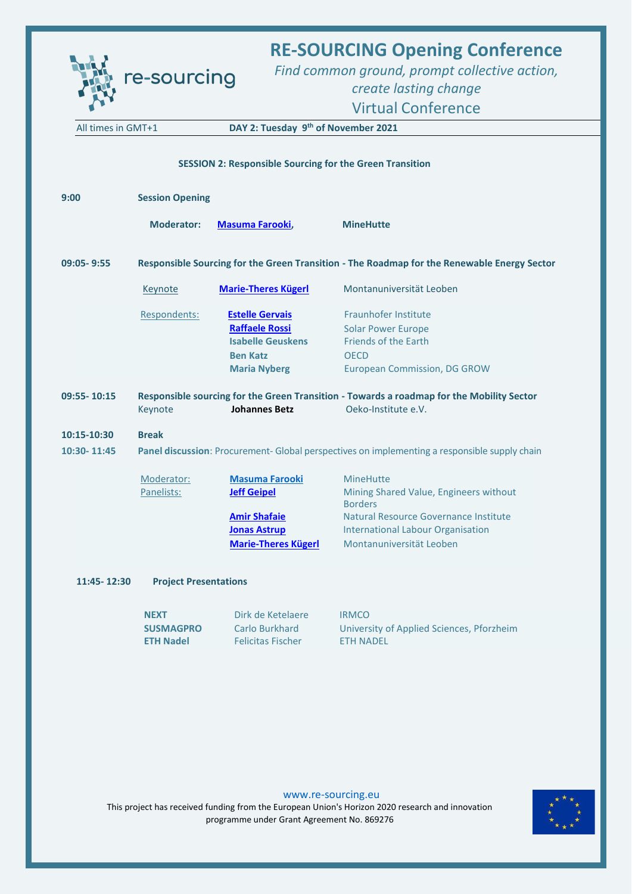|                                                                                                           | re-sourcing                                                                                   |                                                                                                                         | <b>RE-SOURCING Opening Conference</b><br>Find common ground, prompt collective action,<br>create lasting change<br><b>Virtual Conference</b>                                                  |  |  |  |  |
|-----------------------------------------------------------------------------------------------------------|-----------------------------------------------------------------------------------------------|-------------------------------------------------------------------------------------------------------------------------|-----------------------------------------------------------------------------------------------------------------------------------------------------------------------------------------------|--|--|--|--|
| DAY 2: Tuesday 9 <sup>th</sup> of November 2021<br>All times in GMT+1                                     |                                                                                               |                                                                                                                         |                                                                                                                                                                                               |  |  |  |  |
| <b>SESSION 2: Responsible Sourcing for the Green Transition</b>                                           |                                                                                               |                                                                                                                         |                                                                                                                                                                                               |  |  |  |  |
| 9:00                                                                                                      | <b>Session Opening</b>                                                                        |                                                                                                                         |                                                                                                                                                                                               |  |  |  |  |
|                                                                                                           | <b>Moderator:</b>                                                                             | <b>Masuma Farooki,</b>                                                                                                  | <b>MineHutte</b>                                                                                                                                                                              |  |  |  |  |
| Responsible Sourcing for the Green Transition - The Roadmap for the Renewable Energy Sector<br>09:05-9:55 |                                                                                               |                                                                                                                         |                                                                                                                                                                                               |  |  |  |  |
|                                                                                                           | Keynote                                                                                       | <b>Marie-Theres Kügerl</b>                                                                                              | Montanuniversität Leoben                                                                                                                                                                      |  |  |  |  |
|                                                                                                           | Respondents:                                                                                  | <b>Estelle Gervais</b><br><b>Raffaele Rossi</b><br><b>Isabelle Geuskens</b><br><b>Ben Katz</b><br><b>Maria Nyberg</b>   | <b>Fraunhofer Institute</b><br><b>Solar Power Europe</b><br><b>Friends of the Earth</b><br><b>OECD</b><br><b>European Commission, DG GROW</b>                                                 |  |  |  |  |
| 09:55-10:15                                                                                               | Keynote                                                                                       | <b>Johannes Betz</b>                                                                                                    | Responsible sourcing for the Green Transition - Towards a roadmap for the Mobility Sector<br>Oeko-Institute e.V.                                                                              |  |  |  |  |
| 10:15-10:30                                                                                               | <b>Break</b>                                                                                  |                                                                                                                         |                                                                                                                                                                                               |  |  |  |  |
| 10:30-11:45                                                                                               | Panel discussion: Procurement- Global perspectives on implementing a responsible supply chain |                                                                                                                         |                                                                                                                                                                                               |  |  |  |  |
|                                                                                                           | Moderator:<br>Panelists:                                                                      | <b>Masuma Farooki</b><br><b>Jeff Geipel</b><br><b>Amir Shafaie</b><br><b>Jonas Astrup</b><br><b>Marie-Theres Kügerl</b> | <b>MineHutte</b><br>Mining Shared Value, Engineers without<br><b>Borders</b><br>Natural Resource Governance Institute<br><b>International Labour Organisation</b><br>Montanuniversität Leoben |  |  |  |  |
| 11:45-12:30                                                                                               | <b>Project Presentations</b>                                                                  |                                                                                                                         |                                                                                                                                                                                               |  |  |  |  |
|                                                                                                           | <b>NEXT</b><br><b>SUSMAGPRO</b><br><b>ETH Nadel</b>                                           | Dirk de Ketelaere<br>Carlo Burkhard<br><b>Felicitas Fischer</b>                                                         | <b>IRMCO</b><br>University of Applied Sciences, Pforzheim<br><b>ETH NADEL</b>                                                                                                                 |  |  |  |  |

[www.re-sourcing.eu](http://www.re-sourcing.eu/)

This project has received funding from the European Union's Horizon 2020 research and innovation programme under Grant Agreement No. 869276